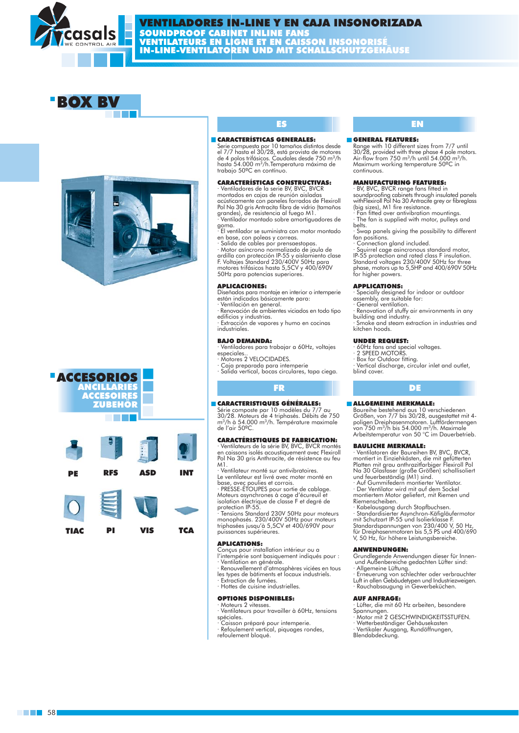







### **CARACTERÍSTICAL**

Serie compuesta por 10 to...<br>el 7/7 hasta el 30/28, está prov...<br>de 4 polos trifásicos. Caudales desde . hasta 54.000 m<sup>3</sup>/h.Temperatura máxima trabajo 50°C en contínuo.

### **CARACTERÍSTICAS CONSTRUCTIVAS:**

- Ventiladores de la serie BV, BVC, BVCR<br>montados en cajas de reunión aisladas acústicamente con paneles forrados de Flexiroll Pol Na 30 gris Antracita fibra de vidrio (tamaños grandes), de resistencia al fuego M1.<br>Continuador montado sobre amortiguadores de

goma. El ventilador se suministra con motor montado

- en base, con poleas y correas.<br>· Salida de cables por prensaestopas
- 

Motor asíncrono normalizado de jaula de rigilla con profección IP-55 y aislamiento clase<br>F. Voltajes Standard 230/400V 50Hz para motores trifásicos hasta 5,5CV y 400/690V<br>50Hz para potencias superiores.

### **APLICACIONES:**

Diseñados para montaje en interior o intemperie<br>están indicados básicamente para:

- Ventilación en general. Renovación de ambientes viciados en todo tipo
- edificios y industrias. · Extracción de vapores y humo en cocinas
- industriales

### **BAJO DEMANDA:**

- Ventiladores para trabajar a 60Hz, voltajes especiales.
- Motores 2 VELOCIDADES.
- Caja preparada para intemperie
- · Salida vertical, bocas circulares, tapa ciega.

### **FR**

### CARACTERISTIQUES GÉNÉRALES:

Série composte par 10 modèles du 7/7 au 30/28. Moteurs de 4 triphasés. Débits de 750 m<sup>3</sup>/h à 54.000 m<sup>3</sup>/h. Température maximale de l'air 50°C.

### **CARACTÉRISTIQUES DE FABRICATION:**

Ventilateurs de la série BV, BVC, BVCR montés en caissons isolés acoustiquement avec Flexiroll Pol Na 30 gris Anthracite, de résistence au feu  $M<sub>1</sub>$ 

Le ventilateur est livré avec moter monté en Le vermique du sai mais avec mois.<br>base, avec poulies et corrois.<br>• PRESSE-ETOUPES pour sortie de cablage.

Moteurs asynchrones à cage d'écureuil et isolation électrique de classe F et degré de<br>protection IP-55.

Tensions Standard 230V 50Hz pour moteurs monophasés. 230/400V 50Hz pour moteurs triphasées jusqu'à 5,5CV et 400/690V pour puissances supérieures.

### **APLICATIONS:**

Conçus pour installation intérieur ou a l'intempérie sont basiquement indiqués pour :

- · Ventilation en générale.<br>· Renouvellement d'atmosphères viciées en tous
- les types de bàtiments et locaux industriels.
- · Extraction de fumées. · Hottes de cuisine industrielles
- 

### **OPTIONS DISPONIBLES:**

- Moteurs 2 vitesses · Ventilateurs pour travailler à 60Hz, tensions spéciales.
- Caisson préparé pour intemperie.
- · Refoulement vertical, piquages rondes,
- refoulement bloqué.

### m municipales, rennissimien

## **MANCHARTSPACING THERMING**

soundproofing cap... with Flexiroll Pol Na 30 Annual polyton of the contract (big sizes), M1 fire resistance.

- $\cdot$  Fan fitted over antivibration mource
- The fan is supplied with motor, pulleys belts.

Swap panels giving the possibility to different fan positions.

Connection gland included.

- Squirrel cage asincronous standard motor,<br>IP-55 protection and rated class F insulation.<br>Standard voltages 230/400V 50Hz for three phase, motors up to 5,5HP and 400/690V 50Hz<br>for higher powers.

### **APPLICATIONS:**

Secially designed for indoor or outdoor<br>assembly, are suitable for:

General ventilation.

Renovation of stuffy air environments in any building and industry.

 $\cdot$  Smoke and steam extraction in industries and kitchen hoods

### **UNDER REQUEST:**

- 60Hz fans and special voltages.<br>2 SPEED MOTORS.
- Box for Outdoor fitting.
- 
- Vertical discharge, circular inlet and outlet, hlind cover

### **DE**

### **E ALLGEMEINE MERKMALE:**

Baureihe bestehend aus 10 verschiedenen Größen, von 7/7 bis 30/28, ausgestattet mit 4poligen Dreiphasenmotoren. Lufffördermengen<br>von 750 m<sup>3</sup>/h bis 54.000 m<sup>3</sup>/h. Maximale Arbeitstemperatur von 50 °C im Dauerbetrieb.

### **RAULICHE MERKMALE:**

Ventilatoren der Baureihen BV, BVC, BVCR, montiert in Einziehkästen, die mit gefütterten<br>Platten mit grau anthrazitfarbiger Flexiroll Pol Na 30 Glasfaser (große Größen) schallisoliert und feuerbeständig (M1) sind.

Auf Gummifedern montierter Ventilator. · Der Ventilator wird mit auf dem Sockel montiertem Motor geliefert, mit Riemen und Riemenscheihen

Kabelausgang durch Stopfbuchsen. - Standardisierter Asynchron-Käfigläufermotor<br>
mit Schutzart IP-55 und Isolierklasse F. Standardspannungen von 230/400 V, 50 Hz für Dreiphasenmotoren bis 5,5 PS und 400/690<br>V, 50 Hz, für höhere Leistungsbereiche.

### **ANWENDUNGEN:**

Grundlegende Anwendungen dieser für Innenund Außenbereiche gedachten Lüfter sind:

- Allgemeine Lüftung.<br>- Erneuerung von schlechter oder verbrauchter

Luft in allen Gebäudetypen und Industriezweigen.<br>
· Rauchabsaugung in Gewerbeküchen.

### **AUF ANFRAGE:**

- Lüfter, die mit 60 Hz arbeiten, besondere Spannungen.
- Motor mit 2 GESCHWINDIGKEITSSTUFEN. Wetterbeständiger Gehäusekasten
- · Vertikaler Ausgang, Rundöffnungen,

Blendabdeckung.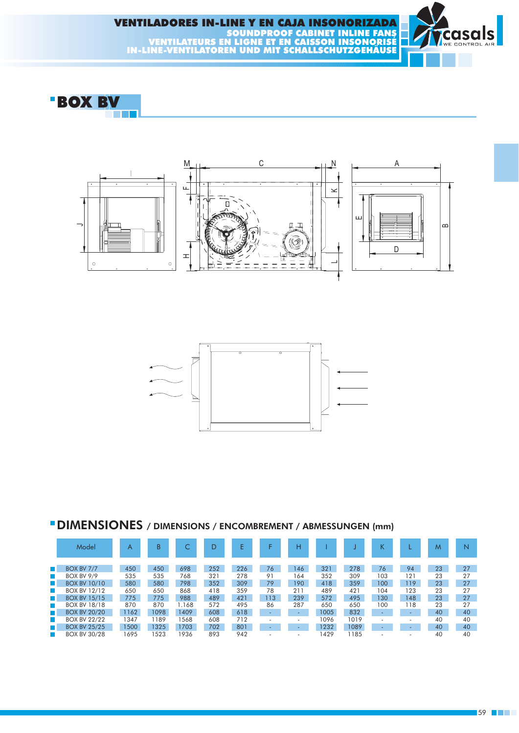





## " DIMENSIONES / DIMENSIONS / ENCOMBREMENT / ABMESSUNGEN (mm)

|                  | Model               | A    | B    |       |     |     |     | н   |      |      | K                        |     | M  |    |
|------------------|---------------------|------|------|-------|-----|-----|-----|-----|------|------|--------------------------|-----|----|----|
|                  |                     |      |      |       |     |     |     |     |      |      |                          |     |    |    |
| $\mathbb{R}^n$   | <b>BOX BV 7/7</b>   | 450  | 450  | 698   | 252 | 226 | 76  | 146 | 321  | 278  | 76                       | 94  | 23 | 27 |
| H.               | <b>BOX BV 9/9</b>   | 535  | 535  | 768   | 321 | 278 | 91  | 164 | 352  | 309  | 103                      | 121 | 23 | 27 |
| <b>The State</b> | <b>BOX BV 10/10</b> | 580  | 580  | 798   | 352 | 309 | 79  | 190 | 418  | 359  | 100                      | 119 | 23 | 27 |
| <b>The State</b> | <b>BOX BV 12/12</b> | 650  | 650  | 868   | 418 | 359 | 78  | 211 | 489  | 421  | 104                      | 123 | 23 | 27 |
| $\mathbb{R}^n$   | <b>BOX BV 15/15</b> | 775  | 775  | 988   | 489 | 421 | 113 | 239 | 572  | 495  | 130                      | 148 | 23 | 27 |
| <b>The State</b> | <b>BOX BV 18/18</b> | 870  | 870  | 1.168 | 572 | 495 | 86  | 287 | 650  | 650  | 100                      | 118 | 23 | 27 |
| $\mathbb{R}^n$   | <b>BOX BV 20/20</b> | 1162 | 1098 | 1409  | 608 | 618 |     |     | 1005 | 832  |                          |     | 40 | 40 |
| ш                | <b>BOX BV 22/22</b> | 1347 | 189  | 1568  | 608 | 712 |     |     | 1096 | 1019 | $\overline{\phantom{a}}$ |     | 40 | 40 |
| $\mathbb{R}^n$   | <b>BOX BV 25/25</b> | 1500 | 1325 | 1703  | 702 | 801 |     |     | 1232 | 1089 |                          |     | 40 | 40 |
|                  | <b>BOX BV 30/28</b> | 695  | 1523 | 1936  | 893 | 942 |     |     | 429  | 185  |                          |     | 40 | 40 |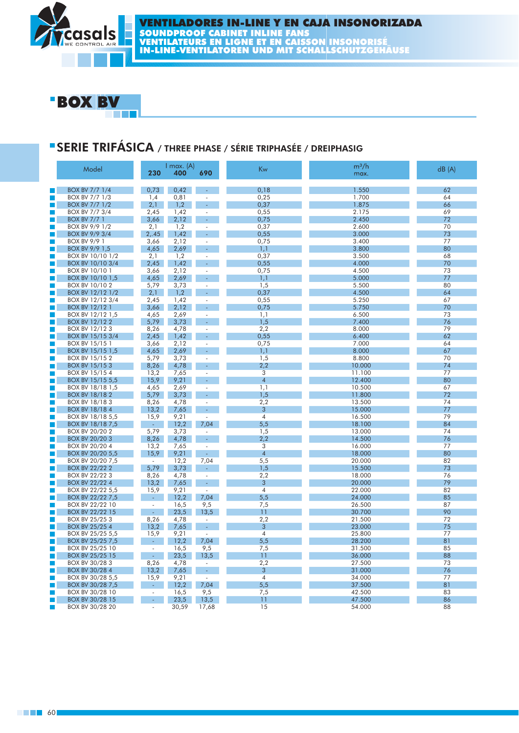# **SERIE TRIFÁSICA / THREE PHASE / SÉRIE TRIPHASE / BRESPHASIG**

|    | Model                 | 230                      | l max. (A)<br>400 | 690                      | Kw             | 999999 |          |
|----|-----------------------|--------------------------|-------------------|--------------------------|----------------|--------|----------|
|    | <b>BOX BV 7/7 1/4</b> | 0.73                     | 0.42              | $\omega$                 | 0.18           | 1.550  |          |
|    | <b>BOX BV 7/7 1/3</b> | 1,4                      | 0,81              |                          | 0,25           | 1.700  |          |
|    | <b>BOX BV 7/7 1/2</b> | 2,1                      | 1,2               | ÷,                       | 0,37           | 1.875  | WW.      |
|    | BOX BV 7/7 3/4        | 2,45                     | 1,42              | ÷,                       | 0,55           | 2.175  |          |
| Ţ. | <b>BOX BV 7/7 1</b>   | 3,66                     | 2,12              | ٠                        | 0,75           | 2.450  | 72       |
| I. | BOX BV 9/9 1/2        | 2,1                      | 1,2               |                          | 0,37           | 2.600  | 70       |
| П  | BOX BV 9/9 3/4        | 2, .45                   | 1.42              | ä,                       | 0,55           | 3.000  | 73       |
|    | <b>BOX BV 9/9 1</b>   | 3,66                     | 2,12              | ÷,                       | 0,75           | 3.400  | 77       |
|    | BOX BV 9/9 1,5        | 4,65                     | 2,69              | ÷                        | 1,1            | 3.800  | 80       |
|    | BOX BV 10/10 1/2      | 2,1                      | 1,2               | ×.                       | 0,37           | 3.500  | 68       |
| П  | BOX BV 10/10 3/4      | 2,45                     | 1,42              | ÷.                       | 0,55           | 4.000  | 70       |
|    | BOX BV 10/10 1        |                          | 2,12              | $\sim$                   |                | 4.500  | 73       |
| П  |                       | 3,66<br>4,65             | 2,69              | ä,                       | 0,75           | 5.000  | 77       |
| П  | BOX BV 10/10 1,5      |                          |                   |                          | 1,1            |        |          |
|    | BOX BV 10/10 2        | 5,79                     | 3,73              | ÷,                       | 1,5            | 5.500  | 80       |
| П  | BOX BV 12/12 1/2      | 2,1                      | 1,2               | ÷                        | 0,37           | 4.500  | 64       |
|    | BOX BV 12/12 3/4      | 2,45                     | 1,42              | $\overline{a}$           | 0,55           | 5.250  | 67       |
| П  | <b>BOX BV 12/12 1</b> | 3,66                     | 2,12              | ä,                       | 0,75           | 5.750  | 70       |
| П  | BOX BV 12/12 1,5      | 4,65                     | 2,69              | ÷,                       | 1,1            | 6.500  | 73       |
|    | <b>BOX BV 12/122</b>  | 5,79                     | 3,73              | ä,                       | 1,5            | 7.400  | 76       |
|    | BOX BV 12/123         | 8,26                     | 4,78              | ÷,                       | 2,2            | 8.000  | 79       |
| П  | BOX BV 15/15 3/4      | 2,45                     | 1,42              | ä,                       | 0,55           | 6.400  | 62       |
| Г  | BOX BV 15/15 1        | 3,66                     | 2,12              | ×.                       | 0,75           | 7.000  | 64       |
| П  | BOX BV 15/15 1,5      | 4,65                     | 2,69              | ÷.                       | 1,1            | 8.000  | 67       |
|    | BOX BV 15/15 2        | 5,79                     | 3,73              | ÷.                       | 1,5            | 8.800  | 70       |
| F. | <b>BOX BV 15/153</b>  | 8,26                     | 4,78              | ÷.                       | 2,2            | 10.000 | 74       |
| П  | BOX BV 15/15 4        | 13,2                     | 7,65              | ÷,                       | 3              | 11.100 | 77       |
| П  | BOX BV 15/15 5,5      | 15,9                     | 9,21              | ÷                        | $\overline{4}$ | 12.400 | 80       |
|    | BOX BV 18/18 1,5      | 4,65                     | 2,69              | ÷                        | 1,1            | 10.500 | 67       |
| П  | <b>BOX BV 18/182</b>  | 5,79                     | 3,73              | ÷                        | 1,5            | 11.800 | 72       |
| П  | BOX BV 18/183         | 8,26                     | 4,78              | ×.                       | 2,2            | 13.500 | 74       |
| П  | <b>BOX BV 18/184</b>  | 13,2                     | 7,65              | ÷,                       | 3              | 15.000 | 77       |
| П  | BOX BV 18/18 5,5      | 15,9                     | 9,21              | ÷,                       | $\overline{4}$ | 16.500 | 79       |
|    | BOX BV 18/18 7,5      | Ψ.                       | 12,2              | 7,04                     | 5,5            | 18.100 | 84       |
|    | BOX BV 20/20 2        | 5,79                     | 3,73              | $\overline{\phantom{a}}$ | 1,5            | 13.000 | 74       |
| П  | BOX BV 20/20 3        | 8,26                     | 4,78              | ä,                       | 2,2            | 14.500 | 76       |
| П  | BOX BV 20/20 4        | 13,2                     | 7,65              | ÷.                       | 3              | 16.000 | 77       |
| П  | BOX BV 20/20 5,5      | 15,9                     | 9,21              | $\sim$                   | $\overline{4}$ | 18.000 | 80       |
|    | BOX BV 20/20 7,5      | ä,                       | 12,2              | 7,04                     | 5,5            | 20.000 | 82       |
| L. | <b>BOX BV 22/22 2</b> | 5,79                     | 3,73              | ÷.                       | 1,5            | 15.500 | 73       |
|    | BOX BV 22/22 3        | 8,26                     | 4,78              | $\overline{\phantom{a}}$ | 2,2            | 18.000 | 76       |
| П  | <b>BOX BV 22/22 4</b> | 13,2                     | 7,65              | $\sim$                   | 3              | 20.000 | 79       |
| F. | BOX BV 22/22 5,5      | 15,9                     | 9,21              | ÷,                       | $\overline{4}$ | 22.000 | 82       |
| у. | BOX BV 22/22 7,5      | Ψ.                       | 12,2              | 7,04                     | 5,5            | 24.000 | 85       |
| П  | BOX BV 22/22 10       |                          | 16,5              | 9,5                      | 7,5            | 26.500 | 87       |
| П  | BOX BV 22/22 15       | $\omega$                 | 23,5              | 13,5                     | 11             | 30.700 | 90       |
|    | BOX BV 25/25 3        | 8,26                     | 4,78              | $\sim$                   | 2,2            | 21.500 | 72       |
| П  | BOX BV 25/25 4        | 13,2                     | 7,65              | $\omega$                 | 3              | 23.000 | 75       |
|    | BOX BV 25/25 5,5      | 15,9                     | 9,21              | $\sim$                   | $\overline{4}$ | 25.800 | 77       |
| П  | BOX BV 25/25 7,5      | $\omega_{\rm c}$         | 12,2              | 7,04                     | 5,5            | 28.200 | 81       |
|    | BOX BV 25/25 10       | $\overline{\phantom{a}}$ | 16,5              | 9,5                      | 7,5            | 31.500 | 85       |
|    | BOX BV 25/25 15       |                          | 23,5              | 13,5                     | 11             | 36.000 | 88       |
|    |                       | $\omega$                 |                   |                          |                |        |          |
|    | BOX BV 30/28 3        | 8,26                     | 4,78              | $\overline{\phantom{a}}$ | 2,2            | 27.500 | 73       |
| П  | BOX BV 30/28 4        | 13,2                     | 7,65              | $\overline{\phantom{a}}$ | 3              | 31.000 | 76<br>77 |
| П  | BOX BV 30/28 5,5      | 15,9                     | 9,21              |                          | $\overline{4}$ | 34.000 |          |
| П  | BOX BV 30/28 7,5      | $\blacksquare$           | 12,2              | 7,04                     | 5,5            | 37.500 | 81       |
|    | BOX BV 30/28 10       |                          | 16,5              | 9.5                      | 7,5            | 42.500 | 83       |
|    | BOX BV 30/28 15       |                          | 23,5              | 13,5                     | 11             | 47.500 | 86       |
|    | BOX BV 30/28 20       |                          | 30.59             | 17.68                    | 15             | 54 000 | 88       |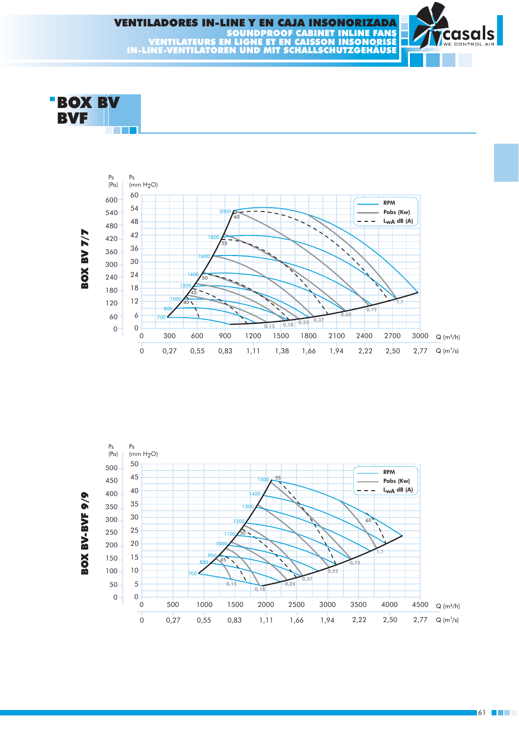



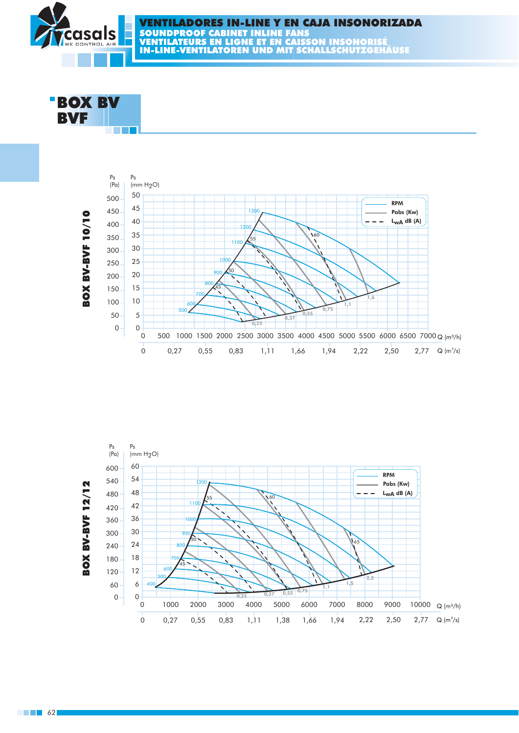



 $\blacksquare$  62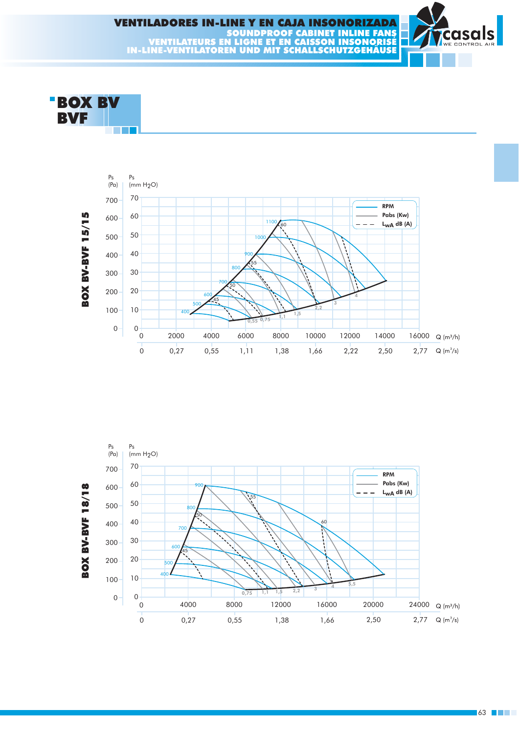





 $\blacksquare$ 63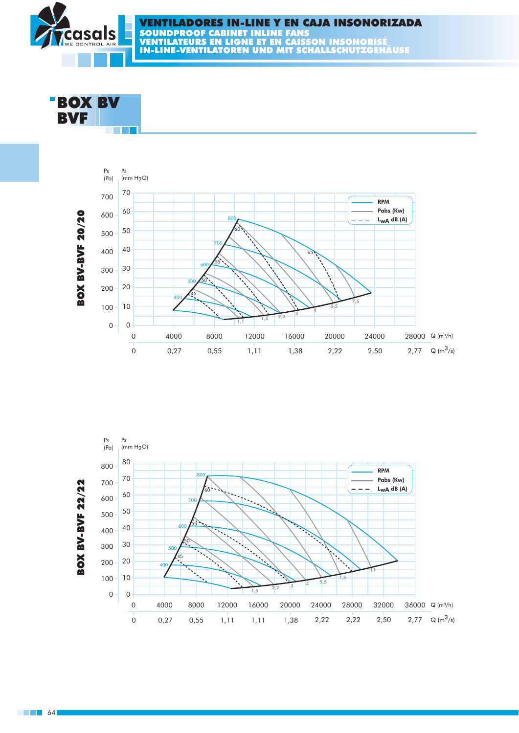